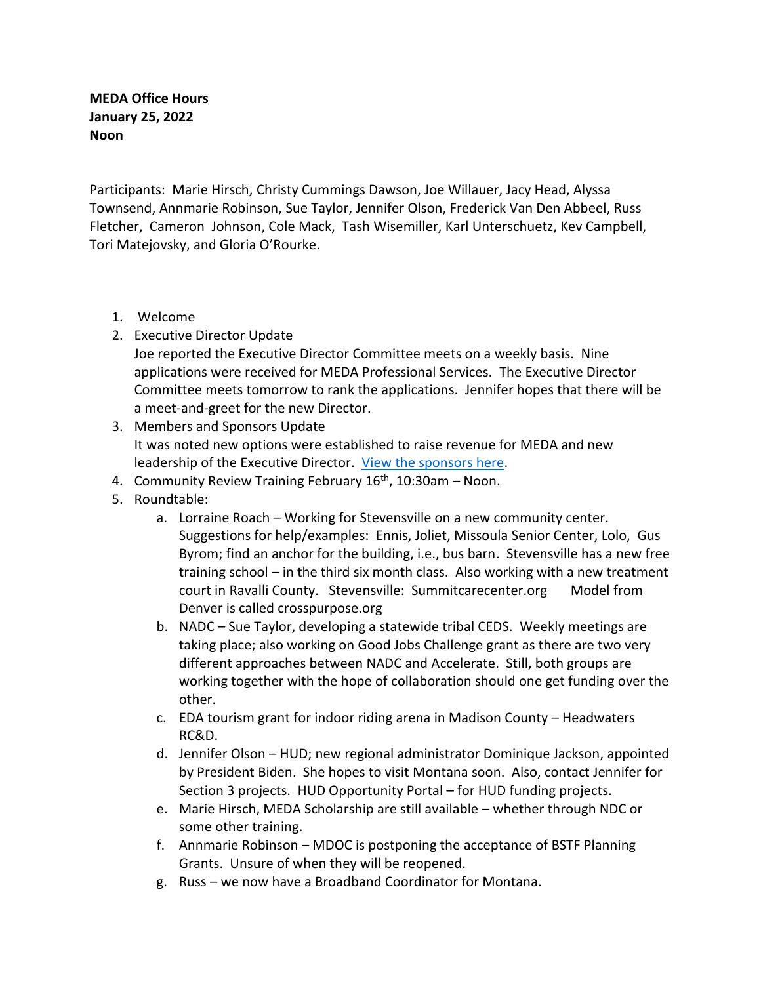**MEDA Office Hours January 25, 2022 Noon** 

Participants: Marie Hirsch, Christy Cummings Dawson, Joe Willauer, Jacy Head, Alyssa Townsend, Annmarie Robinson, Sue Taylor, Jennifer Olson, Frederick Van Den Abbeel, Russ Fletcher, Cameron Johnson, Cole Mack, Tash Wisemiller, Karl Unterschuetz, Kev Campbell, Tori Matejovsky, and Gloria O'Rourke.

- 1. Welcome
- 2. Executive Director Update

Joe reported the Executive Director Committee meets on a weekly basis. Nine applications were received for MEDA Professional Services. The Executive Director Committee meets tomorrow to rank the applications. Jennifer hopes that there will be a meet-and-greet for the new Director.

- 3. Members and Sponsors Update It was noted new options were established to raise revenue for MEDA and new leadership of the Executive Director. [View the sponsors here.](https://www.medamembers.org/)
- 4. Community Review Training February  $16<sup>th</sup>$ , 10:30am Noon.
- 5. Roundtable:
	- a. Lorraine Roach Working for Stevensville on a new community center. Suggestions for help/examples: Ennis, Joliet, Missoula Senior Center, Lolo, Gus Byrom; find an anchor for the building, i.e., bus barn. Stevensville has a new free training school – in the third six month class. Also working with a new treatment court in Ravalli County. Stevensville: Summitcarecenter.org Model from Denver is called crosspurpose.org
	- b. NADC Sue Taylor, developing a statewide tribal CEDS. Weekly meetings are taking place; also working on Good Jobs Challenge grant as there are two very different approaches between NADC and Accelerate. Still, both groups are working together with the hope of collaboration should one get funding over the other.
	- c. EDA tourism grant for indoor riding arena in Madison County Headwaters RC&D.
	- d. Jennifer Olson HUD; new regional administrator Dominique Jackson, appointed by President Biden. She hopes to visit Montana soon. Also, contact Jennifer for Section 3 projects. HUD Opportunity Portal – for HUD funding projects.
	- e. Marie Hirsch, MEDA Scholarship are still available whether through NDC or some other training.
	- f. Annmarie Robinson MDOC is postponing the acceptance of BSTF Planning Grants. Unsure of when they will be reopened.
	- g. Russ we now have a Broadband Coordinator for Montana.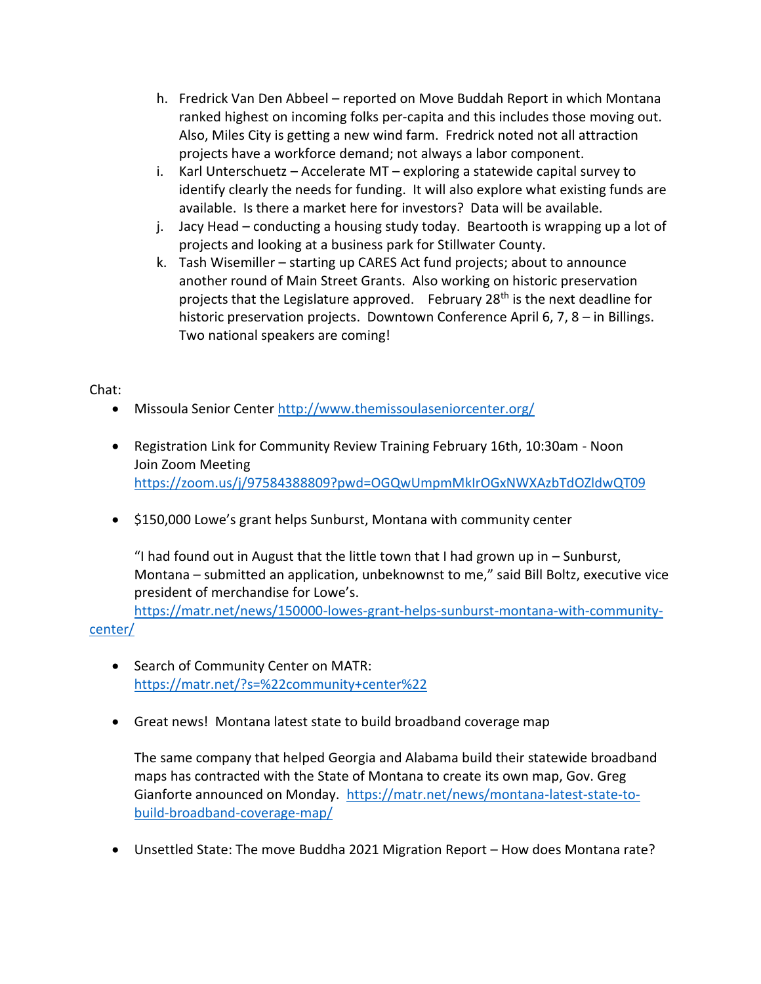- h. Fredrick Van Den Abbeel reported on Move Buddah Report in which Montana ranked highest on incoming folks per-capita and this includes those moving out. Also, Miles City is getting a new wind farm. Fredrick noted not all attraction projects have a workforce demand; not always a labor component.
- i. Karl Unterschuetz Accelerate MT exploring a statewide capital survey to identify clearly the needs for funding. It will also explore what existing funds are available. Is there a market here for investors? Data will be available.
- j. Jacy Head conducting a housing study today. Beartooth is wrapping up a lot of projects and looking at a business park for Stillwater County.
- k. Tash Wisemiller starting up CARES Act fund projects; about to announce another round of Main Street Grants. Also working on historic preservation projects that the Legislature approved. February 28<sup>th</sup> is the next deadline for historic preservation projects. Downtown Conference April 6, 7, 8 – in Billings. Two national speakers are coming!

## Chat:

- Missoula Senior Center<http://www.themissoulaseniorcenter.org/>
- Registration Link for Community Review Training February 16th, 10:30am Noon Join Zoom Meeting <https://zoom.us/j/97584388809?pwd=OGQwUmpmMkIrOGxNWXAzbTdOZldwQT09>
- \$150,000 Lowe's grant helps Sunburst, Montana with community center

"I had found out in August that the little town that I had grown up in  $-$  Sunburst, Montana – submitted an application, unbeknownst to me," said Bill Boltz, executive vice president of merchandise for Lowe's.

[https://matr.net/news/150000-lowes-grant-helps-sunburst-montana-with-community](https://matr.net/news/150000-lowes-grant-helps-sunburst-montana-with-community-center/)[center/](https://matr.net/news/150000-lowes-grant-helps-sunburst-montana-with-community-center/)

- Search of Community Center on MATR: <https://matr.net/?s=%22community+center%22>
- Great news! Montana latest state to build broadband coverage map

The same company that helped Georgia and Alabama build their statewide broadband maps has contracted with the State of Montana to create its own map, Gov. Greg Gianforte announced on Monday. [https://matr.net/news/montana-latest-state-to](https://matr.net/news/montana-latest-state-to-build-broadband-coverage-map/)[build-broadband-coverage-map/](https://matr.net/news/montana-latest-state-to-build-broadband-coverage-map/)

• Unsettled State: The move Buddha 2021 Migration Report – How does Montana rate?